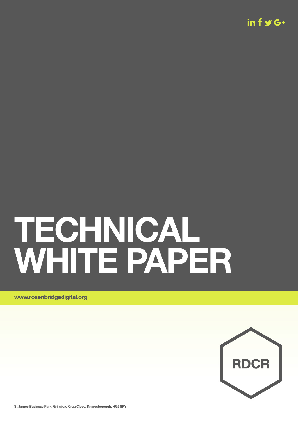$in f \blacktriangleright G+$ 

# **TECHNICAL WHITE PAPER**

**www.rosenbridgedigital.org**



**St James Business Park, Grimbald Crag Close, Knaresborough, HG5 8PY**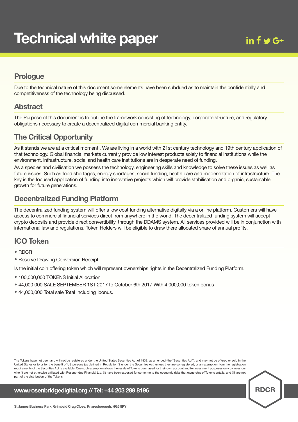# **Prologue**

Due to the technical nature of this document some elements have been subdued as to maintain the confidentially and competitiveness of the technology being discussed.

#### **Abstract**

The Purpose of this document is to outline the framework consisting of technology, corporate structure, and regulatory obligations necessary to create a decentralized digital commercial banking entity.

# **The Critical Opportunity**

As it stands we are at a critical moment , We are living in a world with 21st century technology and 19th century application of that technology. Global financial markets currently provide low interest products solely to financial institutions while the environment, infrastructure, social and health care institutions are in desperate need of funding.

As a species and civilisation we possess the technology, engineering skills and knowledge to solve these issues as well as future issues. Such as food shortages, energy shortages, social funding, health care and modernization of infrastructure. The key is the focused application of funding into innovative projects which will provide stabilisation and organic, sustainable growth for future generations.

# **Decentralized Funding Platform**

The decentralized funding system will offer a low cost funding alternative digitally via a online platform. Customers will have access to commercial financial services direct from anywhere in the world. The decentralized funding system will accept crypto deposits and provide direct convertibility, through the DDAMS system. All services provided will be in conjunction with international law and regulations. Token Holders will be eligible to draw there allocated share of annual profits.

## **ICO Token**

• RDCR

• Reserve Drawing Conversion Receipt

Is the initial coin offering token which will represent ownerships rights in the Decentralized Funding Platform.

- 100,000,000 TOKENS Initial Allocation
- 44,000,000 SALE SEPTEMBER 1ST <sup>2017</sup> to October 6th <sup>2017</sup> With 4,000,000 token bonus
- 44,000,000 Total sale Total Including bonus.

The Tokens have not been and will not be registered under the United States Securities Act of 1933, as amended (the "Securities Act"), and may not be offered or sold in the United States or to or for the benefit of US persons (as defined in Regulation S under the Securities Act) unless they are so registered, or an exemption from the registration requirements of the Securities Act is available. One such exemption allows the resale of Tokens purchased for their own account and for investment purposes only by investors who (i) are not otherwise affiliated with Rosenbridge Financial Ltd, (ii) have been exposed for some me to the economic risks that ownership of Tokens entails, and (iii) are not part of the distribution of the Tokens.

**www.rosenbridgedigital.org // Tel: +44 203 289 8196**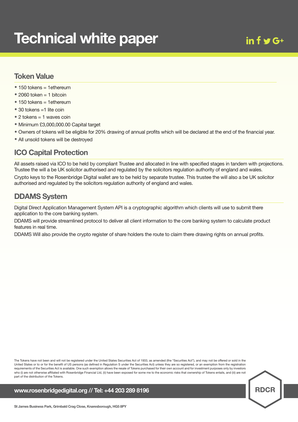#### **Token Value**

- $150$  tokens = 1ethereum
- $\bullet$  2060 token = 1 bitcoin
- 150 tokens = 1ethereum
- 30 tokens =1 lite coin
- <sup>2</sup> tokens <sup>=</sup> <sup>1</sup> waves coin
- Minimum £3,000,000.00 Capital target
- Owners of tokens will be eligible for 20% drawing of annual profits which will be declared at the end of the financial year.
- All unsold tokens will be destroyed

# **ICO Capital Protection**

All assets raised via ICO to be held by compliant Trustee and allocated in line with specified stages in tandem with projections. Trustee the will a be UK solicitor authorised and regulated by the solicitors regulation authority of england and wales. Crypto keys to the Rosenbridge Digital wallet are to be held by separate trustee. This trustee the will also a be UK solicitor authorised and regulated by the solicitors regulation authority of england and wales.

# **DDAMS System**

Digital Direct Application Management System API is a cryptographic algorithm which clients will use to submit there application to the core banking system.

DDAMS will provide streamlined protocol to deliver all client information to the core banking system to calculate product features in real time.

DDAMS Will also provide the crypto register of share holders the route to claim there drawing rights on annual profits.

The Tokens have not been and will not be registered under the United States Securities Act of 1933, as amended (the "Securities Act"), and may not be offered or sold in the United States or to or for the benefit of US persons (as defined in Regulation S under the Securities Act) unless they are so registered, or an exemption from the registration requirements of the Securities Act is available. One such exemption allows the resale of Tokens purchased for their own account and for investment purposes only by investors who (i) are not otherwise affiliated with Rosenbridge Financial Ltd, (ii) have been exposed for some me to the economic risks that ownership of Tokens entails, and (iii) are not part of the distribution of the Tokens.

**www.rosenbridgedigital.org // Tel: +44 203 289 8196**